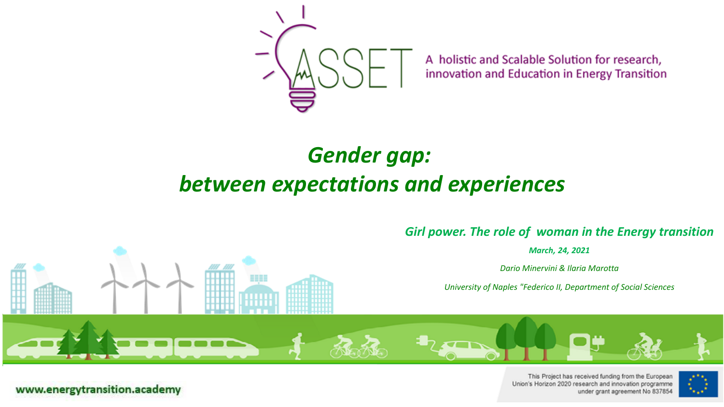

A holistic and Scalable Solution for research, innovation and Education in Energy Transition

### *Gender gap: between expectations and experiences*



*March, 24, 2021*

*Dario Minervini & Ilaria Marotta* 

*University of Naples "Federico II, Department of Social Sciences*



This Project has received funding from the European Union's Horizon 2020 research and innovation programme under grant agreement No 837854

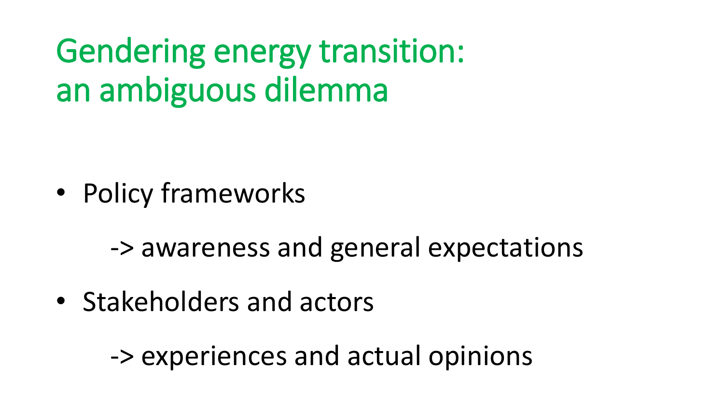# Gendering energy transition: an ambiguous dilemma

- Policy frameworks
	- -> awareness and general expectations
- Stakeholders and actors

-> experiences and actual opinions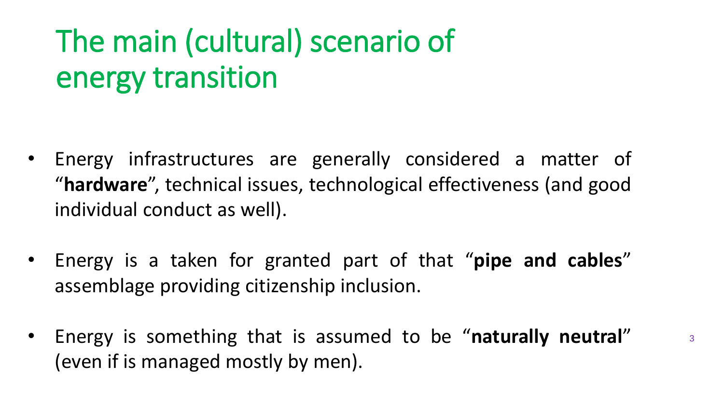# The main (cultural) scenario of energy transition

- Energy infrastructures are generally considered a matter of "**hardware**", technical issues, technological effectiveness (and good individual conduct as well).
- Energy is a taken for granted part of that "**pipe and cables**" assemblage providing citizenship inclusion.
- Energy is something that is assumed to be "**naturally neutral**" (even if is managed mostly by men).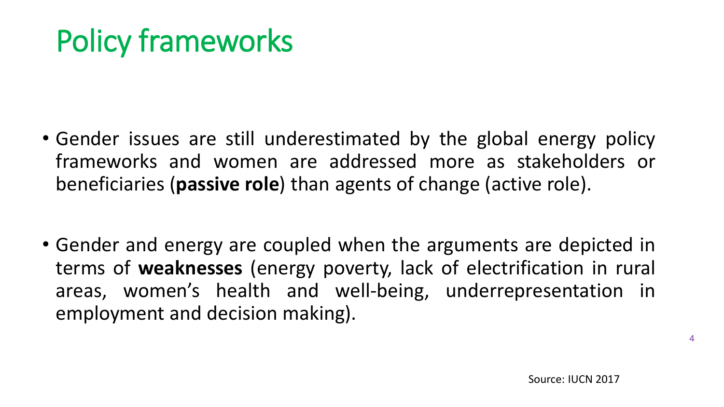# Policy frameworks

- Gender issues are still underestimated by the global energy policy frameworks and women are addressed more as stakeholders or beneficiaries (**passive role**) than agents of change (active role).
- Gender and energy are coupled when the arguments are depicted in terms of **weaknesses** (energy poverty, lack of electrification in rural areas, women's health and well-being, underrepresentation in employment and decision making).

4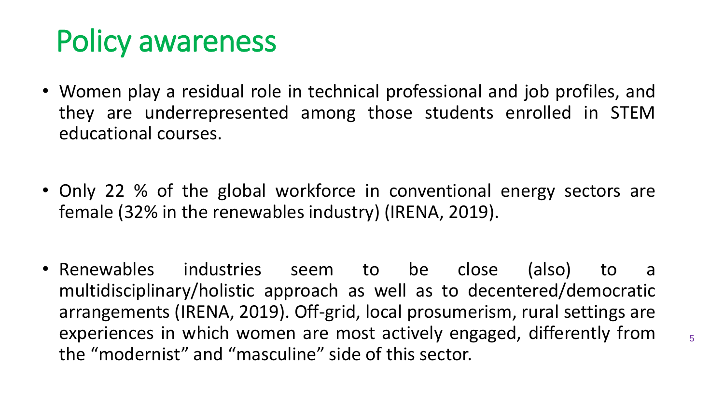# Policy awareness

- Women play a residual role in technical professional and job profiles, and they are underrepresented among those students enrolled in STEM educational courses.
- Only 22 % of the global workforce in conventional energy sectors are female (32% in the renewables industry) (IRENA, 2019).
- Renewables industries seem to be close (also) to a multidisciplinary/holistic approach as well as to decentered/democratic arrangements (IRENA, 2019). Off-grid, local prosumerism, rural settings are experiences in which women are most actively engaged, differently from the "modernist" and "masculine" side of this sector.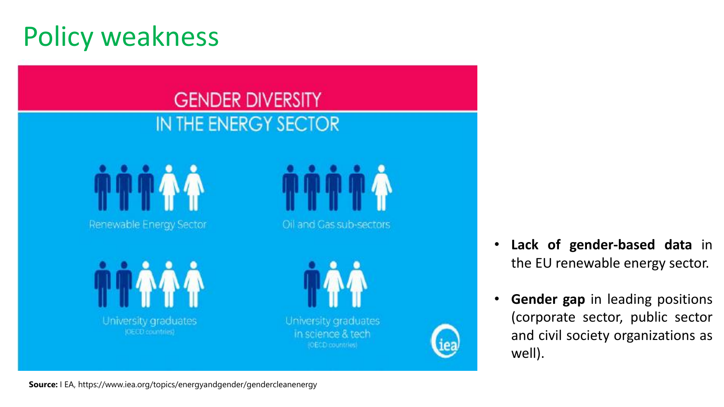### Policy weakness

### **GENDER DIVERSITY** IN THE ENERGY SECTOR

Renewable Energy Sector

Oil and Gas sub-sectors

University graduates (GEED countries)



University graduates in science & tech (OECD countries)

- **Lack of gender-based data** in the EU renewable energy sector.
- **Gender gap** in leading positions (corporate sector, public sector and civil society organizations as well).

**Source:** I EA, https://www.iea.org/topics/energyandgender/gendercleanenergy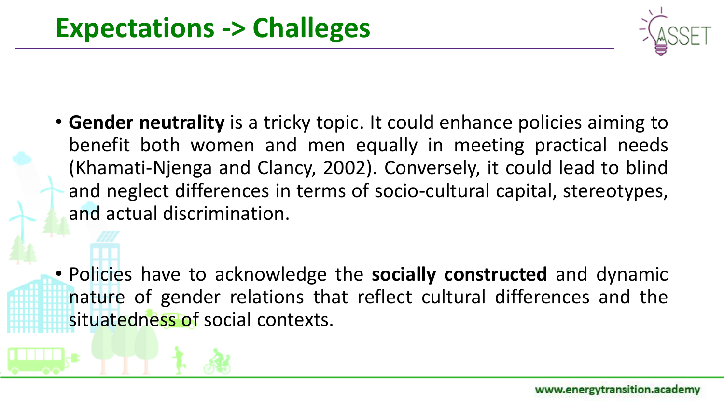

• **Gender neutrality** is a tricky topic. It could enhance policies aiming to benefit both women and men equally in meeting practical needs (Khamati-Njenga and Clancy, 2002). Conversely, it could lead to blind and neglect differences in terms of socio-cultural capital, stereotypes, and actual discrimination.

• Policies have to acknowledge the **socially constructed** and dynamic nature of gender relations that reflect cultural differences and the situatedness of social contexts.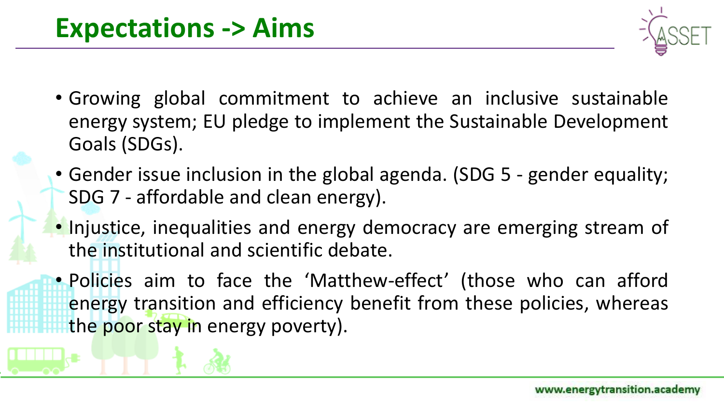

- Growing global commitment to achieve an inclusive sustainable energy system; EU pledge to implement the Sustainable Development Goals (SDGs).
- Gender issue inclusion in the global agenda. (SDG 5 gender equality; SDG 7 - affordable and clean energy).
- Injustice, inequalities and energy democracy are emerging stream of the institutional and scientific debate.

• Policies aim to face the 'Matthew-effect' (those who can afford energy transition and efficiency benefit from these policies, whereas the poor stay in energy poverty).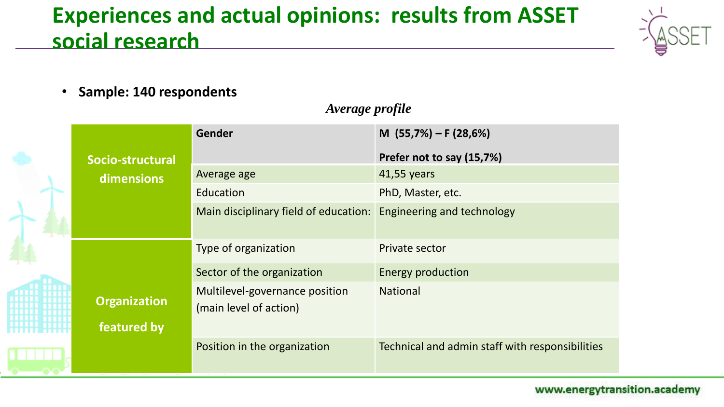### **Experiences and actual opinions: results from ASSET social research**



• **Sample: 140 respondents**

#### *Average profile*

|                                    | <b>Gender</b>                                            | M $(55,7%) - F (28,6%)$                         |
|------------------------------------|----------------------------------------------------------|-------------------------------------------------|
| Socio-structural                   |                                                          | Prefer not to say (15,7%)                       |
| dimensions                         | Average age                                              | 41,55 years                                     |
|                                    | Education                                                | PhD, Master, etc.                               |
|                                    | Main disciplinary field of education:                    | Engineering and technology                      |
|                                    | Type of organization                                     | Private sector                                  |
|                                    | Sector of the organization                               | <b>Energy production</b>                        |
| <b>Organization</b><br>featured by | Multilevel-governance position<br>(main level of action) | <b>National</b>                                 |
|                                    | Position in the organization                             | Technical and admin staff with responsibilities |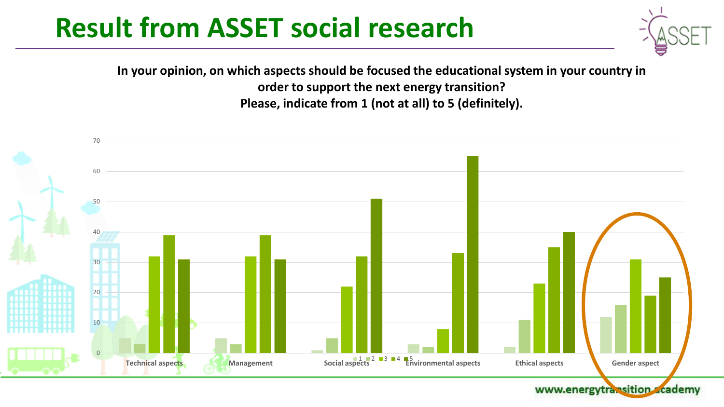**In your opinion, on which aspects should be focused the educational system in your country in order to support the next energy transition? Please, indicate from 1 (not at all) to 5 (definitely).**

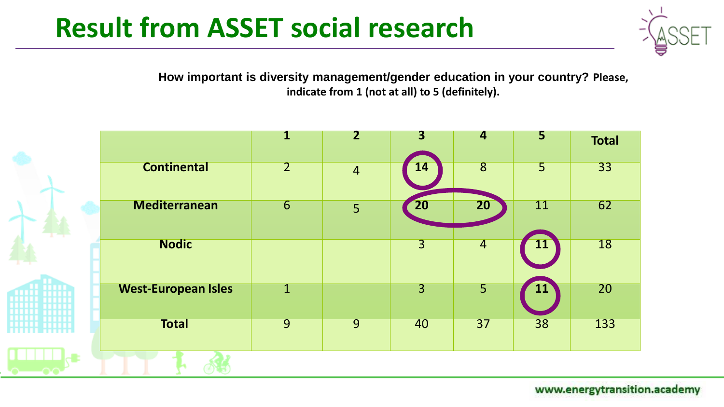

**How important is diversity management/gender education in your country? Please, indicate from 1 (not at all) to 5 (definitely).**

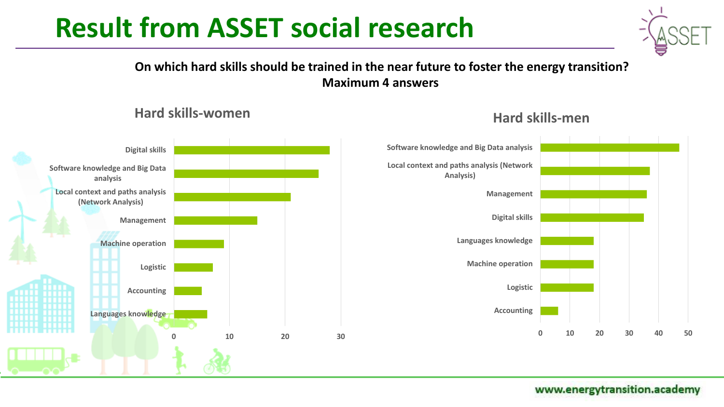**On which hard skills should be trained in the near future to foster the energy transition? Maximum 4 answers**



#### **Hard skills-women**



#### **Hard skills-men**

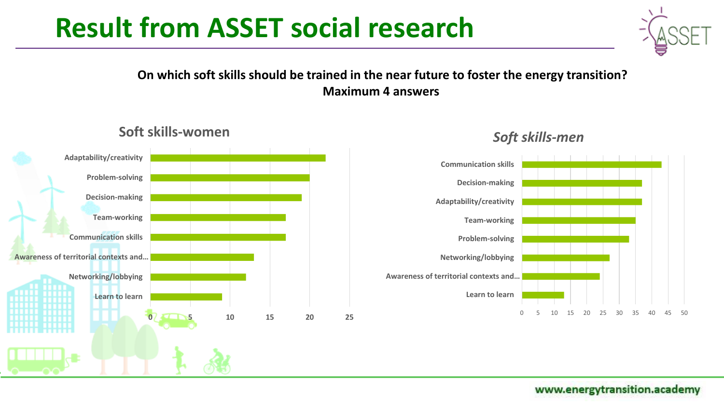#### **On which soft skills should be trained in the near future to foster the energy transition? Maximum 4 answers**

**Soft skills-women**



#### *Soft skills-men*



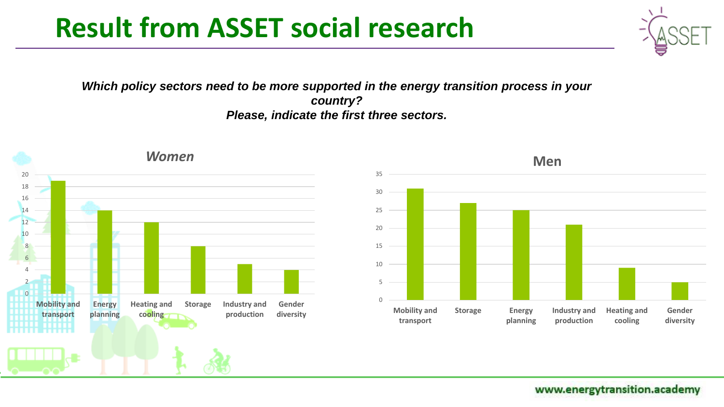*Which policy sectors need to be more supported in the energy transition process in your country? Please, indicate the first three sectors.*

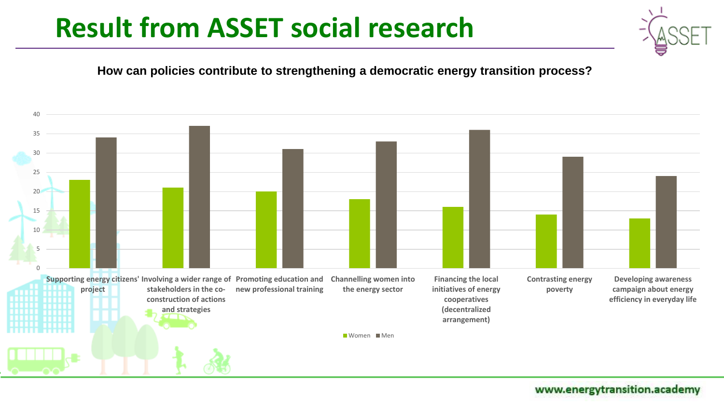

#### **How can policies contribute to strengthening a democratic energy transition process?**

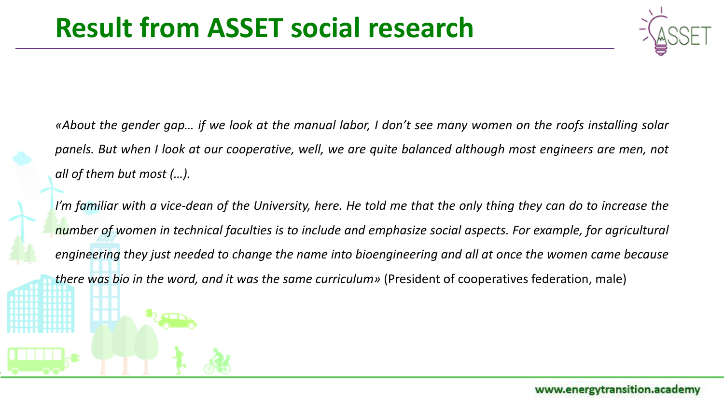

«About the gender gap... if we look at the manual labor, I don't see many women on the roofs installing solar panels. But when I look at our cooperative, well, we are quite balanced although most engineers are men, not *all of them but most (…).*

I'm familiar with a vice-dean of the University, here. He told me that the only thing they can do to increase the number of women in technical faculties is to include and emphasize social aspects. For example, for agricultural engineering they just needed to change the name into bioengineering and all at once the women came because *there was bio in the word, and it was the same curriculum»* (President of cooperatives federation, male)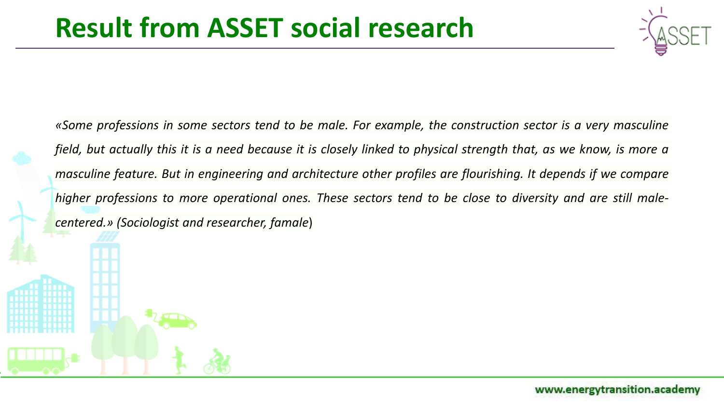

«Some professions in some sectors tend to be male. For example, the construction sector is a very masculine field, but actually this it is a need because it is closely linked to physical strength that, as we know, is more a *masculine feature. But in engineering and architecture other profiles are flourishing. It depends if we compare* higher professions to more operational ones. These sectors tend to be close to diversity and are still male*centered.» (Sociologist and researcher, famale*)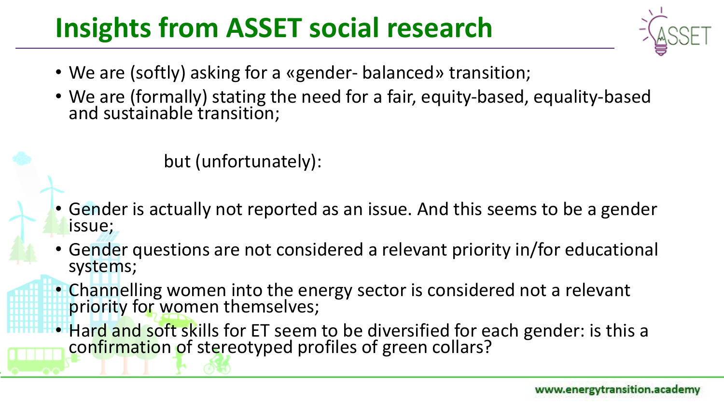## **Insights from ASSET social research**

- We are (softly) asking for a «gender- balanced» transition;
- We are (formally) stating the need for a fair, equity-based, equality-based and sustainable transition;

but (unfortunately):

- Gender is actually not reported as an issue. And this seems to be a gender issue;
- Gender questions are not considered a relevant priority in/for educational systems;
- Channelling women into the energy sector is considered not a relevant priority for women themselves;
- Hard and soft skills for ET seem to be diversified for each gender: is this a confirmation of stereotyped profiles of green collars?